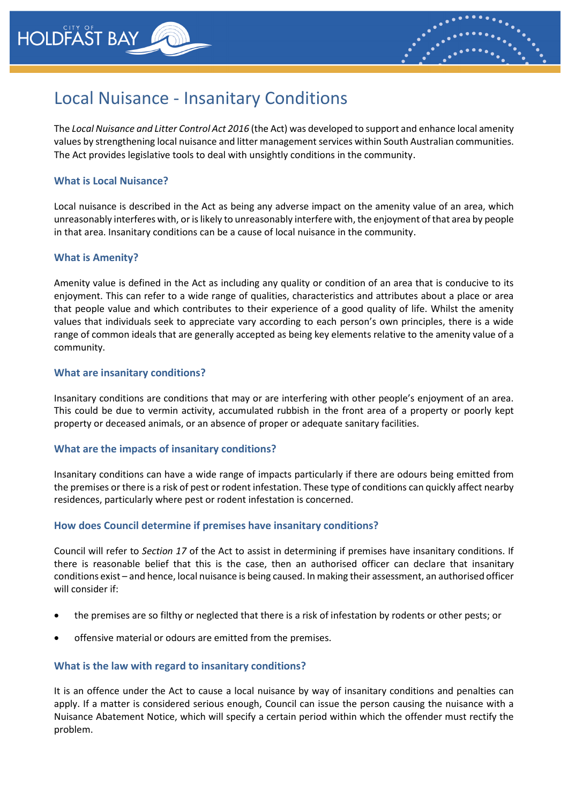



# Local Nuisance - Insanitary Conditions

The *Local Nuisance and Litter Control Act 2016* (the Act) was developed to support and enhance local amenity values by strengthening local nuisance and litter management services within South Australian communities. The Act provides legislative tools to deal with unsightly conditions in the community.

## **What is Local Nuisance?**

Local nuisance is described in the Act as being any adverse impact on the amenity value of an area, which unreasonably interferes with, or is likely to unreasonably interfere with, the enjoyment of that area by people in that area. Insanitary conditions can be a cause of local nuisance in the community.

### **What is Amenity?**

Amenity value is defined in the Act as including any quality or condition of an area that is conducive to its enjoyment. This can refer to a wide range of qualities, characteristics and attributes about a place or area that people value and which contributes to their experience of a good quality of life. Whilst the amenity values that individuals seek to appreciate vary according to each person's own principles, there is a wide range of common ideals that are generally accepted as being key elements relative to the amenity value of a community.

### **What are insanitary conditions?**

Insanitary conditions are conditions that may or are interfering with other people's enjoyment of an area. This could be due to vermin activity, accumulated rubbish in the front area of a property or poorly kept property or deceased animals, or an absence of proper or adequate sanitary facilities.

# **What are the impacts of insanitary conditions?**

Insanitary conditions can have a wide range of impacts particularly if there are odours being emitted from the premises or there is a risk of pest or rodent infestation. These type of conditions can quickly affect nearby residences, particularly where pest or rodent infestation is concerned.

# **How does Council determine if premises have insanitary conditions?**

Council will refer to *Section 17* of the Act to assist in determining if premises have insanitary conditions. If there is reasonable belief that this is the case, then an authorised officer can declare that insanitary conditions exist – and hence, local nuisance is being caused. In making their assessment, an authorised officer will consider if:

- the premises are so filthy or neglected that there is a risk of infestation by rodents or other pests; or
- offensive material or odours are emitted from the premises.

# **What is the law with regard to insanitary conditions?**

It is an offence under the Act to cause a local nuisance by way of insanitary conditions and penalties can apply. If a matter is considered serious enough, Council can issue the person causing the nuisance with a Nuisance Abatement Notice, which will specify a certain period within which the offender must rectify the problem.